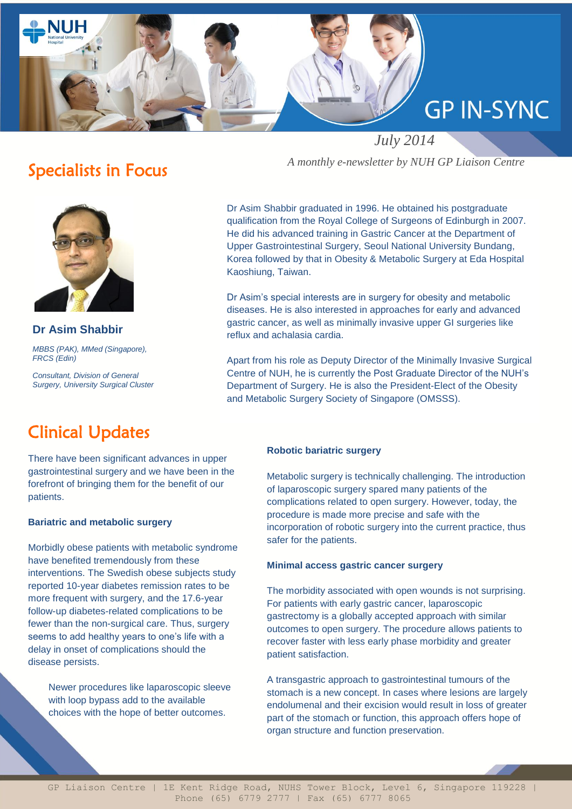

## Specialists in Focus



**Dr Asim Shabbir** *MBBS (PAK), MMed (Singapore), FRCS (Edin)*

*Consultant, Division of General Surgery, University Surgical Cluster*

# Clinical Updates

There have been significant advances in upper gastrointestinal surgery and we have been in the forefront of bringing them for the benefit of our patients.

### **Bariatric and metabolic surgery**

Morbidly obese patients with metabolic syndrome have benefited tremendously from these interventions. The Swedish obese subjects study reported 10-year diabetes remission rates to be more frequent with surgery, and the 17.6-year follow-up diabetes-related complications to be fewer than the non-surgical care. Thus, surgery seems to add healthy years to one's life with a delay in onset of complications should the disease persists.

Newer procedures like laparoscopic sleeve with loop bypass add to the available choices with the hope of better outcomes.

*A monthly e-newsletter by NUH GP Liaison Centre*

Dr Asim Shabbir graduated in 1996. He obtained his postgraduate qualification from the Royal College of Surgeons of Edinburgh in 2007. He did his advanced training in Gastric Cancer at the Department of Upper Gastrointestinal Surgery, Seoul National University Bundang, Korea followed by that in Obesity & Metabolic Surgery at Eda Hospital Kaoshiung, Taiwan.

Dr Asim's special interests are in surgery for obesity and metabolic diseases. He is also interested in approaches for early and advanced gastric cancer, as well as minimally invasive upper GI surgeries like reflux and achalasia cardia.

Apart from his role as Deputy Director of the Minimally Invasive Surgical Centre of NUH, he is currently the Post Graduate Director of the NUH's Department of Surgery. He is also the President-Elect of the Obesity and Metabolic Surgery Society of Singapore (OMSSS).

#### **Robotic bariatric surgery**

Metabolic surgery is technically challenging. The introduction of laparoscopic surgery spared many patients of the complications related to open surgery. However, today, the procedure is made more precise and safe with the incorporation of robotic surgery into the current practice, thus safer for the patients.

#### **Minimal access gastric cancer surgery**

The morbidity associated with open wounds is not surprising. For patients with early gastric cancer, laparoscopic gastrectomy is a globally accepted approach with similar outcomes to open surgery. The procedure allows patients to recover faster with less early phase morbidity and greater patient satisfaction.

A transgastric approach to gastrointestinal tumours of the stomach is a new concept. In cases where lesions are largely endolumenal and their excision would result in loss of greater part of the stomach or function, this approach offers hope of organ structure and function preservation.

GP Liaison Centre | 1E Kent Ridge Road, NUHS Tower Block, Level 6, Singapore 119228 | Phone (65) 6779 2777 | Fax (65) 6777 8065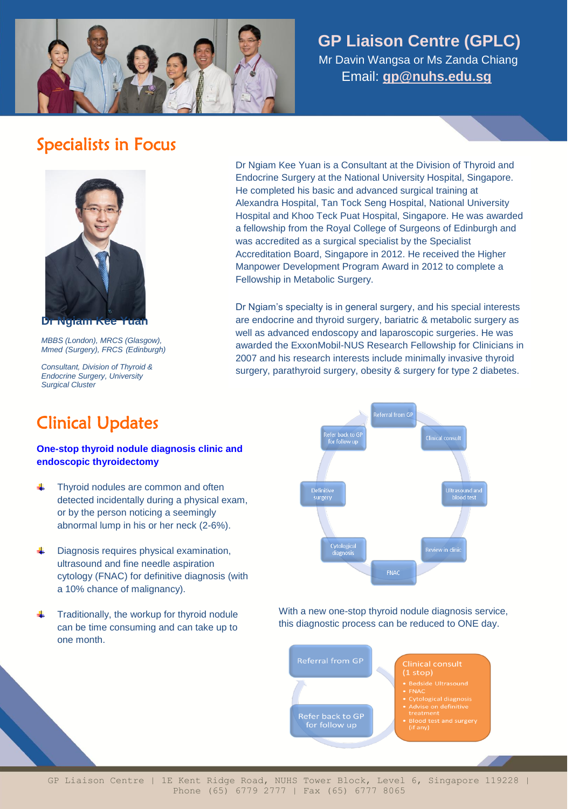

# **GP Liaison Centre (GPLC)**

 Mr Davin Wangsa or Ms Zanda Chiang Email: **[gp@nuhs.edu.sg](mailto:gp@nuhs.edu.sg)**

## Specialists in Focus



**Dr Ngiam Kee Yuan** *MBBS (London), MRCS (Glasgow), Mmed (Surgery), FRCS (Edinburgh)*

*Consultant, Division of Thyroid & Endocrine Surgery, University Surgical Cluster*

Dr Ngiam Kee Yuan is a Consultant at the Division of Thyroid and Endocrine Surgery at the National University Hospital, Singapore. He completed his basic and advanced surgical training at Alexandra Hospital, Tan Tock Seng Hospital, National University Hospital and Khoo Teck Puat Hospital, Singapore. He was awarded a fellowship from the Royal College of Surgeons of Edinburgh and was accredited as a surgical specialist by the Specialist Accreditation Board, Singapore in 2012. He received the Higher Manpower Development Program Award in 2012 to complete a Fellowship in Metabolic Surgery.

Dr Ngiam's specialty is in general surgery, and his special interests are endocrine and thyroid surgery, bariatric & metabolic surgery as well as advanced endoscopy and laparoscopic surgeries. He was awarded the ExxonMobil-NUS Research Fellowship for Clinicians in 2007 and his research interests include minimally invasive thyroid surgery, parathyroid surgery, obesity & surgery for type 2 diabetes.

# Clinical Updates

## **One-stop thyroid nodule diagnosis clinic and endoscopic thyroidectomy**

- d. Thyroid nodules are common and often detected incidentally during a physical exam, or by the person noticing a seemingly abnormal lump in his or her neck (2-6%).
- ÷ Diagnosis requires physical examination, ultrasound and fine needle aspiration cytology (FNAC) for definitive diagnosis (with a 10% chance of malignancy).
- Traditionally, the workup for thyroid nodule can be time consuming and can take up to one month.



With a new one-stop thyroid nodule diagnosis service, this diagnostic process can be reduced to ONE day.